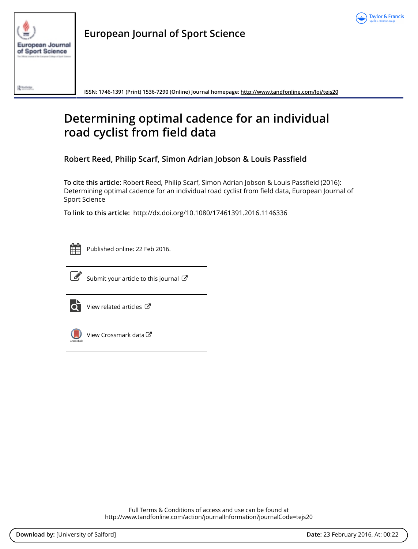



**European Journal of Sport Science**

**ISSN: 1746-1391 (Print) 1536-7290 (Online) Journal homepage:<http://www.tandfonline.com/loi/tejs20>**

# **Determining optimal cadence for an individual road cyclist from field data**

**Robert Reed, Philip Scarf, Simon Adrian Jobson & Louis Passfield**

**To cite this article:** Robert Reed, Philip Scarf, Simon Adrian Jobson & Louis Passfield (2016): Determining optimal cadence for an individual road cyclist from field data, European Journal of Sport Science

**To link to this article:** <http://dx.doi.org/10.1080/17461391.2016.1146336>



Published online: 22 Feb 2016.



 $\overrightarrow{S}$  [Submit your article to this journal](http://www.tandfonline.com/action/authorSubmission?journalCode=tejs20&page=instructions)  $\overrightarrow{S}$ 



 $\overrightarrow{Q}$  [View related articles](http://www.tandfonline.com/doi/mlt/10.1080/17461391.2016.1146336)  $\overrightarrow{C}$ 



[View Crossmark data](http://crossmark.crossref.org/dialog/?doi=10.1080/17461391.2016.1146336&domain=pdf&date_stamp=2016-02-22)

Full Terms & Conditions of access and use can be found at <http://www.tandfonline.com/action/journalInformation?journalCode=tejs20>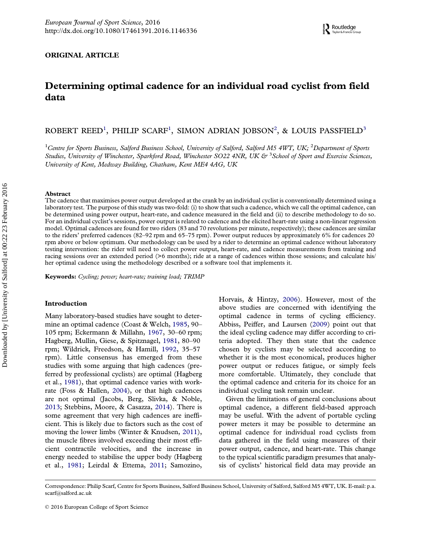# <span id="page-1-0"></span>ORIGINAL ARTICLE

# Determining optimal cadence for an individual road cyclist from field data

ROBERT REED<sup>1</sup>, PHILIP SCARF<sup>1</sup>, SIMON ADRIAN JOBSON<sup>2</sup>, & LOUIS PASSFIELD<sup>3</sup>

<sup>1</sup>Centre for Sports Business, Salford Business School, University of Salford, Salford M5 4WT, UK; <sup>2</sup>Department of Sports Studies, University of Winchester, Sparkford Road, Winchester SO22 4NR, UK & <sup>3</sup>School of Sport and Exercise Sciences, University of Kent, Medway Building, Chatham, Kent ME4 4AG, UK

#### Abstract

The cadence that maximises power output developed at the crank by an individual cyclist is conventionally determined using a laboratory test. The purpose of this study was two-fold: (i) to show that such a cadence, which we call the optimal cadence, can be determined using power output, heart-rate, and cadence measured in the field and (ii) to describe methodology to do so. For an individual cyclist's sessions, power output is related to cadence and the elicited heart-rate using a non-linear regression model. Optimal cadences are found for two riders (83 and 70 revolutions per minute, respectively); these cadences are similar to the riders' preferred cadences (82–92 rpm and 65–75 rpm). Power output reduces by approximately 6% for cadences 20 rpm above or below optimum. Our methodology can be used by a rider to determine an optimal cadence without laboratory testing intervention: the rider will need to collect power output, heart-rate, and cadence measurements from training and racing sessions over an extended period (>6 months); ride at a range of cadences within those sessions; and calculate his/ her optimal cadence using the methodology described or a software tool that implements it.

Keywords: Cycling; power; heart-rate; training load; TRIMP

# Introduction

Many laboratory-based studies have sought to determine an optimal cadence (Coast & Welch, [1985](#page-8-0), 90– 105 rpm; Eckermann & Millahn, [1967,](#page-8-0) 30–60 rpm; Hagberg, Mullin, Giese, & Spitznagel, [1981](#page-8-0), 80–90 rpm; Wildrick, Freedson, & Hamill, [1992,](#page-9-0) 35–57 rpm). Little consensus has emerged from these studies with some arguing that high cadences (preferred by professional cyclists) are optimal (Hagberg et al., [1981](#page-8-0)), that optimal cadence varies with workrate (Foss & Hallen, [2004](#page-8-0)), or that high cadences are not optimal (Jacobs, Berg, Slivka, & Noble, [2013;](#page-8-0) Stebbins, Moore, & Casazza, [2014](#page-9-0)). There is some agreement that very high cadences are inefficient. This is likely due to factors such as the cost of moving the lower limbs (Winter & Knudsen, [2011\)](#page-9-0), the muscle fibres involved exceeding their most efficient contractile velocities, and the increase in energy needed to stabilise the upper body (Hagberg et al., [1981](#page-8-0); Leirdal & Ettema, [2011](#page-8-0); Samozino,

Horvais, & Hintzy, [2006\)](#page-9-0). However, most of the above studies are concerned with identifying the optimal cadence in terms of cycling efficiency. Abbiss, Peiffer, and Laursen [\(2009\)](#page-8-0) point out that the ideal cycling cadence may differ according to criteria adopted. They then state that the cadence chosen by cyclists may be selected according to whether it is the most economical, produces higher power output or reduces fatigue, or simply feels more comfortable. Ultimately, they conclude that the optimal cadence and criteria for its choice for an individual cycling task remain unclear.

Given the limitations of general conclusions about optimal cadence, a different field-based approach may be useful. With the advent of portable cycling power meters it may be possible to determine an optimal cadence for individual road cyclists from data gathered in the field using measures of their power output, cadence, and heart-rate. This change to the typical scientific paradigm presumes that analysis of cyclists' historical field data may provide an

Correspondence: Philip Scarf, Centre for Sports Business, Salford Business School, University of Salford, Salford M5 4WT, UK. E-mail: [p.a.](mailto:p.a.scarf@salford.ac.uk) [scarf@salford.ac.uk](mailto:p.a.scarf@salford.ac.uk)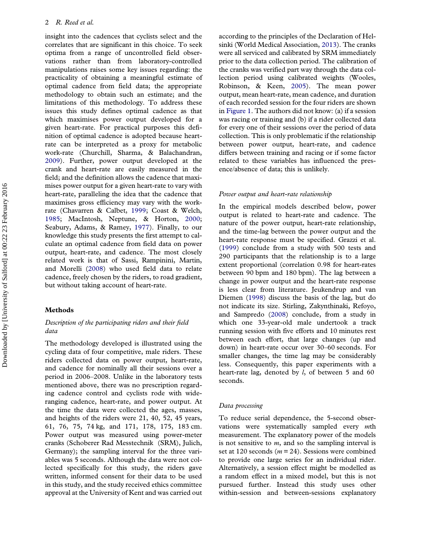<span id="page-2-0"></span>insight into the cadences that cyclists select and the correlates that are significant in this choice. To seek optima from a range of uncontrolled field observations rather than from laboratory-controlled manipulations raises some key issues regarding: the practicality of obtaining a meaningful estimate of optimal cadence from field data; the appropriate methodology to obtain such an estimate; and the limitations of this methodology. To address these issues this study defines optimal cadence as that which maximises power output developed for a given heart-rate. For practical purposes this definition of optimal cadence is adopted because heartrate can be interpreted as a proxy for metabolic work-rate (Churchill, Sharma, & Balachandran, [2009\)](#page-8-0). Further, power output developed at the crank and heart-rate are easily measured in the field; and the definition allows the cadence that maximises power output for a given heart-rate to vary with heart-rate, paralleling the idea that the cadence that maximises gross efficiency may vary with the workrate (Chavarren & Calbet, [1999](#page-8-0); Coast & Welch, [1985;](#page-8-0) MacIntosh, Neptune, & Horton, [2000;](#page-8-0) Seabury, Adams, & Ramey, [1977](#page-9-0)). Finally, to our knowledge this study presents the first attempt to calculate an optimal cadence from field data on power output, heart-rate, and cadence. The most closely related work is that of Sassi, Rampinini, Martin, and Morelli ([2008](#page-9-0)) who used field data to relate cadence, freely chosen by the riders, to road gradient, but without taking account of heart-rate.

# Methods

# Description of the participating riders and their field data

The methodology developed is illustrated using the cycling data of four competitive, male riders. These riders collected data on power output, heart-rate, and cadence for nominally all their sessions over a period in 2006–2008. Unlike in the laboratory tests mentioned above, there was no prescription regarding cadence control and cyclists rode with wideranging cadence, heart-rate, and power output. At the time the data were collected the ages, masses, and heights of the riders were 21, 40, 52, 45 years, 61, 76, 75, 74 kg, and 171, 178, 175, 183 cm. Power output was measured using power-meter cranks (Schoberer Rad Messtechnik (SRM), Julich, Germany); the sampling interval for the three variables was 5 seconds. Although the data were not collected specifically for this study, the riders gave written, informed consent for their data to be used in this study, and the study received ethics committee approval at the University of Kent and was carried out

according to the principles of the Declaration of Helsinki (World Medical Association, [2013](#page-9-0)). The cranks were all serviced and calibrated by SRM immediately prior to the data collection period. The calibration of the cranks was verified part way through the data collection period using calibrated weights (Wooles, Robinson, & Keen, [2005](#page-9-0)). The mean power output, mean heart-rate, mean cadence, and duration of each recorded session for the four riders are shown in [Figure 1.](#page-3-0) The authors did not know: (a) if a session was racing or training and (b) if a rider collected data for every one of their sessions over the period of data collection. This is only problematic if the relationship between power output, heart-rate, and cadence differs between training and racing or if some factor related to these variables has influenced the presence/absence of data; this is unlikely.

#### Power output and heart-rate relationship

In the empirical models described below, power output is related to heart-rate and cadence. The nature of the power output, heart-rate relationship, and the time-lag between the power output and the heart-rate response must be specified. Grazzi et al. ([1999](#page-8-0)) conclude from a study with 500 tests and 290 participants that the relationship is to a large extent proportional (correlation 0.98 for heart-rates between 90 bpm and 180 bpm). The lag between a change in power output and the heart-rate response is less clear from literature. Jeukendrup and van Diemen [\(1998](#page-8-0)) discuss the basis of the lag, but do not indicate its size. Stirling, Zakynthinaki, Refoyo, and Sampredo [\(2008\)](#page-9-0) conclude, from a study in which one 33-year-old male undertook a track running session with five efforts and 10 minutes rest between each effort, that large changes (up and down) in heart-rate occur over 30–60 seconds. For smaller changes, the time lag may be considerably less. Consequently, this paper experiments with a heart-rate lag, denoted by  $l$ , of between 5 and 60 seconds.

#### Data processing

To reduce serial dependence, the 5-second observations were systematically sampled every mth measurement. The explanatory power of the models is not sensitive to  $m$ , and so the sampling interval is set at 120 seconds ( $m = 24$ ). Sessions were combined to provide one large series for an individual rider. Alternatively, a session effect might be modelled as a random effect in a mixed model, but this is not pursued further. Instead this study uses other within-session and between-sessions explanatory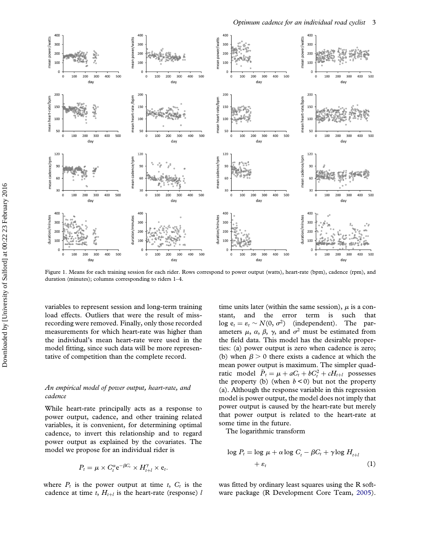<span id="page-3-0"></span>

Figure 1. Means for each training session for each rider. Rows correspond to power output (watts), heart-rate (bpm), cadence (rpm), and duration (minutes); columns corresponding to riders 1–4.

variables to represent session and long-term training load effects. Outliers that were the result of missrecording were removed. Finally, only those recorded measurements for which heart-rate was higher than the individual's mean heart-rate were used in the model fitting, since such data will be more representative of competition than the complete record.

# An empirical model of power output, heart-rate, and cadence

While heart-rate principally acts as a response to power output, cadence, and other training related variables, it is convenient, for determining optimal cadence, to invert this relationship and to regard power output as explained by the covariates. The model we propose for an individual rider is

$$
P_t = \mu \times C_t^{\alpha} e^{-\beta C_t} \times H_{t+l}^{\gamma} \times e_t.
$$

where  $P_t$  is the power output at time t,  $C_t$  is the cadence at time  $t$ ,  $H_{t+l}$  is the heart-rate (response)  $l$  time units later (within the same session),  $\mu$  is a constant, and the error term is such that  $\log e_t = \varepsilon_t \sim N(0, \sigma^2)$  (independent). The parameters  $\mu$ ,  $\alpha$ ,  $\beta$ ,  $\gamma$ , and  $\sigma^2$  must be estimated from the field data. This model has the desirable properties: (a) power output is zero when cadence is zero; (b) when  $\beta > 0$  there exists a cadence at which the mean power output is maximum. The simpler quadratic model  $\overline{P}_t = \mu + aC_t + bC_t^2 + cH_{t+l}$  possesses the property (b) (when  $b < 0$ ) but not the property (a). Although the response variable in this regression model is power output, the model does not imply that power output is caused by the heart-rate but merely that power output is related to the heart-rate at some time in the future.

The logarithmic transform

$$
\log P_t = \log \mu + \alpha \log C_t - \beta C_t + \gamma \log H_{t+l}
$$
  
+  $\varepsilon_t$  (1)

was fitted by ordinary least squares using the R software package (R Development Core Team, [2005\)](#page-9-0).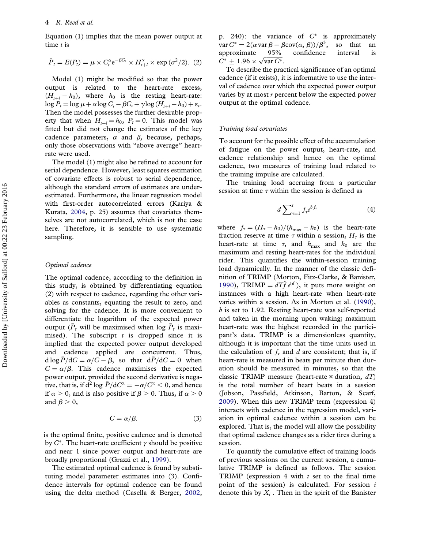<span id="page-4-0"></span>Equation (1) implies that the mean power output at time  $t$  is

$$
\bar{P}_t = E(P_t) = \mu \times C_t^{\alpha} e^{-\beta C_t} \times H_{t+l}^{\gamma} \times \exp(\sigma^2/2). (2)
$$

Model (1) might be modified so that the power output is related to the heart-rate excess,  $(H_{t+1} - h_0)$ , where  $h_0$  is the resting heart-rate:  $\log P_t = \log \mu + \alpha \log C_t - \beta C_t + \gamma \log (H_{t+l} - h_0) + \varepsilon_t.$ Then the model possesses the further desirable property that when  $H_{t+l} = h_0$ ,  $P_t = 0$ . This model was fitted but did not change the estimates of the key cadence parameters,  $\alpha$  and  $\beta$ , because, perhaps, only those observations with "above average" heartrate were used.

The model (1) might also be refined to account for serial dependence. However, least squares estimation of covariate effects is robust to serial dependence, although the standard errors of estimates are underestimated. Furthermore, the linear regression model with first-order autocorrelated errors (Kariya & Kurata, [2004,](#page-8-0) p. 25) assumes that covariates themselves are not autocorrelated, which is not the case here. Therefore, it is sensible to use systematic sampling.

#### Optimal cadence

The optimal cadence, according to the definition in this study, is obtained by differentiating equation (2) with respect to cadence, regarding the other variables as constants, equating the result to zero, and solving for the cadence. It is more convenient to differentiate the logarithm of the expected power output ( $\overline{P}_t$  will be maximised when log  $\overline{P}_t$  is maximised). The subscript  $t$  is dropped since it is implied that the expected power output developed and cadence applied are concurrent. Thus,  $d \log P/dC = \alpha/C - \beta$ , so that  $dP/dC = 0$  when  $C = \alpha/\beta$ . This cadence maximises the expected power output, provided the second derivative is negative, that is, if  $d^2 \log \bar{P}/dC^2 = -\alpha/C^2 < 0$ , and hence if  $\alpha > 0$ , and is also positive if  $\beta > 0$ . Thus, if  $\alpha > 0$ and  $\beta > 0$ ,

$$
C = \alpha/\beta. \tag{3}
$$

is the optimal finite, positive cadence and is denoted by  $C^*$ . The heart-rate coefficient  $\gamma$  should be positive and near 1 since power output and heart-rate are broadly proportional (Grazzi et al., [1999](#page-8-0)).

The estimated optimal cadence is found by substituting model parameter estimates into (3). Confidence intervals for optimal cadence can be found using the delta method (Casella & Berger, [2002,](#page-8-0) p. 240): the variance of  $C^*$  is approximately var  $C^* = 2(\alpha \text{ var } \beta - \beta \text{cov}(\alpha, \beta))/\beta^3$ , so that an approximate 95% confidence interval is approximate  $C^*$  + 1.96  $\times \sqrt{\text{var } C^*}$ .

To describe the practical significance of an optimal cadence (if it exists), it is informative to use the interval of cadence over which the expected power output varies by at most r percent below the expected power output at the optimal cadence.

# Training load covariates

To account for the possible effect of the accumulation of fatigue on the power output, heart-rate, and cadence relationship and hence on the optimal cadence, two measures of training load related to the training impulse are calculated.

The training load accruing from a particular session at time  $\tau$  within the session is defined as

$$
d\sum_{\tau=1}^{t}f_{\tau}e^{bf_{\tau}}} \tag{4}
$$

where  $f_{\tau} = (H_{\tau} - h_0)/(h_{\text{max}} - h_0)$  is the heart-rate fraction reserve at time  $\tau$  within a session,  $H_{\tau}$  is the heart-rate at time  $\tau$ , and  $h_{\text{max}}$  and  $h_0$  are the maximum and resting heart-rates for the individual rider. This quantifies the within-session training load dynamically. In the manner of the classic definition of TRIMP (Morton, Fitz-Clarke, & Banister, [1990\)](#page-8-0), TRIMP =  $dT\tilde{f}e^{b\tilde{f}}$ , it puts more weight on instances with a high heart-rate when heart-rate varies within a session. As in Morton et al. ([1990\)](#page-8-0),  $b$  is set to 1.92. Resting heart-rate was self-reported and taken in the morning upon waking; maximum heart-rate was the highest recorded in the participant's data. TRIMP is a dimensionless quantity, although it is important that the time units used in the calculation of  $f_\tau$  and d are consistent; that is, if heart-rate is measured in beats per minute then duration should be measured in minutes, so that the classic TRIMP measure (heart-rate  $\times$  duration,  $dT$ ) is the total number of heart beats in a session (Jobson, Passfield, Atkinson, Barton, & Scarf, [2009\)](#page-8-0). When this new TRIMP term (expression 4) interacts with cadence in the regression model, variation in optimal cadence within a session can be explored. That is, the model will allow the possibility that optimal cadence changes as a rider tires during a session.

To quantify the cumulative effect of training loads of previous sessions on the current session, a cumulative TRIMP is defined as follows. The session TRIMP (expression 4 with  $t$  set to the final time point of the session) is calculated. For session  $i$ denote this by  $X_i$ . Then in the spirit of the Banister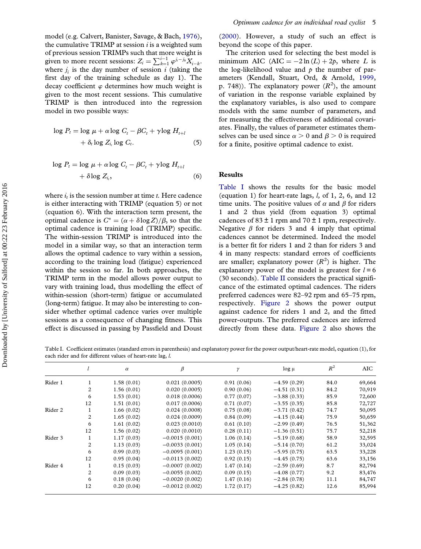<span id="page-5-0"></span>model (e.g. Calvert, Banister, Savage, & Bach, [1976\)](#page-8-0), the cumulative TRIMP at session  $i$  is a weighted sum of previous session TRIMPs such that more weight is given to more recent sessions:  $Z_i = \sum_{k=1}^{i-1} \varphi^{j_i-j_k} X_{i-k}$ . where  $j_i$  is the day number of session i (taking the first day of the training schedule as day 1). The decay coefficient  $\varphi$  determines how much weight is given to the most recent sessions. This cumulative TRIMP is then introduced into the regression model in two possible ways:

$$
\log P_t = \log \mu + \alpha \log C_t - \beta C_t + \gamma \log H_{t+l}
$$
  
+  $\delta_t \log Z_{i_t} \log C_t.$  (5)

$$
\log P_t = \log \mu + \alpha \log C_t - \beta C_t + \gamma \log H_{t+l} + \delta \log Z_{i_t}, \tag{6}
$$

where  $i_t$  is the session number at time t. Here cadence is either interacting with TRIMP (equation 5) or not (equation 6). With the interaction term present, the optimal cadence is  $C^* = (\alpha + \delta \log Z)/\beta$ , so that the optimal cadence is training load (TRIMP) specific. The within-session TRIMP is introduced into the model in a similar way, so that an interaction term allows the optimal cadence to vary within a session, according to the training load (fatigue) experienced within the session so far. In both approaches, the TRIMP term in the model allows power output to vary with training load, thus modelling the effect of within-session (short-term) fatigue or accumulated (long-term) fatigue. It may also be interesting to consider whether optimal cadence varies over multiple sessions as a consequence of changing fitness. This effect is discussed in passing by Passfield and Doust

([2000](#page-9-0)). However, a study of such an effect is beyond the scope of this paper.

The criterion used for selecting the best model is minimum AIC (AIC =  $-2 \ln(L) + 2p$ , where L is the log-likelihood value and  $p$  the number of parameters (Kendall, Stuart, Ord, & Arnold, [1999](#page-8-0), p. 748)). The explanatory power  $(R^2)$ , the amount of variation in the response variable explained by the explanatory variables, is also used to compare models with the same number of parameters, and for measuring the effectiveness of additional covariates. Finally, the values of parameter estimates themselves can be used since  $\alpha > 0$  and  $\beta > 0$  is required for a finite, positive optimal cadence to exist.

# Results

Table I shows the results for the basic model (equation 1) for heart-rate lags,  $l$ , of 1, 2, 6, and 12 time units. The positive values of  $\alpha$  and  $\beta$  for riders 1 and 2 thus yield (from equation 3) optimal cadences of  $83 \pm 1$  rpm and  $70 \pm 1$  rpm, respectively. Negative  $\beta$  for riders 3 and 4 imply that optimal cadences cannot be determined. Indeed the model is a better fit for riders 1 and 2 than for riders 3 and 4 in many respects: standard errors of coefficients are smaller; explanatory power  $(R^2)$  is higher. The explanatory power of the model is greatest for  $l = 6$ (30 seconds). [Table II](#page-6-0) considers the practical significance of the estimated optimal cadences. The riders preferred cadences were 82–92 rpm and 65–75 rpm, respectively. [Figure 2](#page-6-0) shows the power output against cadence for riders 1 and 2, and the fitted power-outputs. The preferred cadences are inferred directly from these data. [Figure 2](#page-6-0) also shows the

Table I. Coefficient estimates (standard errors in parenthesis) and explanatory power for the power output/heart-rate model, equation (1), for each rider and for different values of heart-rate lag, l.

|         |                | $\alpha$   | β                | $\gamma$   | $\log \mu$    | $R^2$ | AIC    |
|---------|----------------|------------|------------------|------------|---------------|-------|--------|
| Rider 1 | 1              | 1.58(0.01) | 0.021(0.0005)    | 0.91(0.06) | $-4.59(0.29)$ | 84.0  | 69,664 |
|         | $\overline{c}$ | 1.56(0.01) | 0.020(0.0005)    | 0.90(0.06) | $-4.51(0.31)$ | 84.2  | 70,919 |
|         | 6              | 1.53(0.01) | 0.018(0.0006)    | 0.77(0.07) | $-3.88(0.33)$ | 85.9  | 72,600 |
|         | 12             | 1.51(0.01) | 0.017(0.0006)    | 0.71(0.07) | $-3.55(0.35)$ | 85.8  | 72,727 |
| Rider 2 | 1              | 1.66(0.02) | 0.024(0.0008)    | 0.75(0.08) | $-3.71(0.42)$ | 74.7  | 50,095 |
|         | 2              | 1.65(0.02) | 0.024(0.0009)    | 0.84(0.09) | $-4.15(0.44)$ | 75.9  | 50,659 |
|         | 6              | 1.61(0.02) | 0.023(0.0010)    | 0.61(0.10) | $-2.99(0.49)$ | 76.5  | 51,362 |
|         | 12             | 1.56(0.02) | 0.020(0.0010)    | 0.28(0.11) | $-1.36(0.51)$ | 75.7  | 52,218 |
| Rider 3 | 1              | 1.17(0.03) | $-0.0015(0.001)$ | 1.06(0.14) | $-5.19(0.68)$ | 58.9  | 32,595 |
|         | 2              | 1.13(0.03) | $-0.0033(0.001)$ | 1.05(0.14) | $-5.14(0.70)$ | 61.2  | 33,024 |
|         | 6              | 0.99(0.03) | $-0.0095(0.001)$ | 1.23(0.15) | $-5.95(0.75)$ | 63.5  | 33,228 |
|         | 12             | 0.95(0.04) | $-0.0113(0.002)$ | 0.92(0.15) | $-4.45(0.75)$ | 63.6  | 33,156 |
| Rider 4 | 1              | 0.15(0.03) | $-0.0007(0.002)$ | 1.47(0.14) | $-2.59(0.69)$ | 8.7   | 82,794 |
|         | 2              | 0.09(0.03) | $-0.0055(0.002)$ | 0.09(0.15) | $-4.08(0.77)$ | 9.2   | 83,476 |
|         | 6              | 0.18(0.04) | $-0.0020(0.002)$ | 1.47(0.16) | $-2.84(0.78)$ | 11.1  | 84,747 |
|         | 12             | 0.20(0.04) | $-0.0012(0.002)$ | 1.72(0.17) | $-4.25(0.82)$ | 12.6  | 85,994 |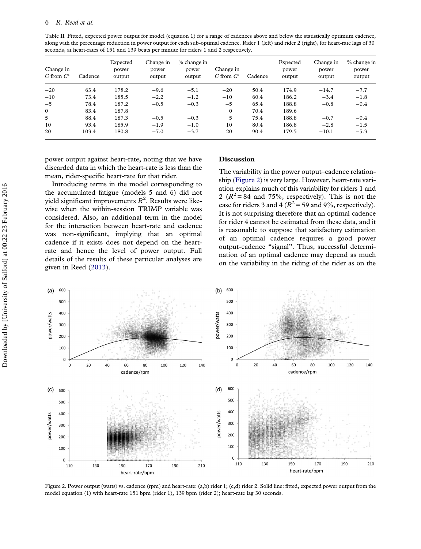<span id="page-6-0"></span>Table II Fitted, expected power output for model (equation 1) for a range of cadences above and below the statistically optimum cadence, along with the percentage reduction in power output for each sub-optimal cadence. Rider 1 (left) and rider 2 (right), for heart-rate lags of 30 seconds, at heart-rates of 151 and 139 beats per minute for riders 1 and 2 respectively.

| Change in<br>C from $C^*$ | Cadence | Expected<br>power<br>output | Change in<br>power<br>output | $%$ change in<br>power<br>output | Change in<br>C from $C^*$ | Cadence | Expected<br>power<br>output | Change in<br>power<br>output | % change in<br>power<br>output |
|---------------------------|---------|-----------------------------|------------------------------|----------------------------------|---------------------------|---------|-----------------------------|------------------------------|--------------------------------|
| $-20$                     | 63.4    | 178.2                       | $-9.6$                       | $-5.1$                           | $-20$                     | 50.4    | 174.9                       | $-14.7$                      | $-7.7$                         |
| $-10$                     | 73.4    | 185.5                       | $-2.2$                       | $-1.2$                           | $-10$                     | 60.4    | 186.2                       | $-3.4$                       | $-1.8$                         |
| $-5$                      | 78.4    | 187.2                       | $-0.5$                       | $-0.3$                           | $-5$                      | 65.4    | 188.8                       | $-0.8$                       | $-0.4$                         |
| $\overline{0}$            | 83.4    | 187.8                       |                              |                                  | $\mathbf{0}$              | 70.4    | 189.6                       |                              |                                |
| 5                         | 88.4    | 187.3                       | $-0.5$                       | $-0.3$                           | 5                         | 75.4    | 188.8                       | $-0.7$                       | $-0.4$                         |
| 10                        | 93.4    | 185.9                       | $-1.9$                       | $-1.0$                           | 10                        | 80.4    | 186.8                       | $-2.8$                       | $-1.5$                         |
| 20                        | 103.4   | 180.8                       | $-7.0$                       | $-3.7$                           | 20                        | 90.4    | 179.5                       | $-10.1$                      | $-5.3$                         |

power output against heart-rate, noting that we have discarded data in which the heart-rate is less than the mean, rider-specific heart-rate for that rider.

Introducing terms in the model corresponding to the accumulated fatigue (models 5 and 6) did not yield significant improvements  $R^2$ . Results were likewise when the within-session TRIMP variable was considered. Also, an additional term in the model for the interaction between heart-rate and cadence was non-significant, implying that an optimal cadence if it exists does not depend on the heartrate and hence the level of power output. Full details of the results of these particular analyses are given in Reed ([2013](#page-9-0)).

#### **Discussion**

The variability in the power output–cadence relationship (Figure 2) is very large. However, heart-rate variation explains much of this variability for riders 1 and 2 ( $R^2$  = 84 and 75%, respectively). This is not the case for riders 3 and 4 ( $R^2$  = 59 and 9%, respectively). It is not surprising therefore that an optimal cadence for rider 4 cannot be estimated from these data, and it is reasonable to suppose that satisfactory estimation of an optimal cadence requires a good power output-cadence "signal". Thus, successful determination of an optimal cadence may depend as much on the variability in the riding of the rider as on the



Figure 2. Power output (watts) vs. cadence (rpm) and heart-rate: (a,b) rider 1; (c,d) rider 2. Solid line: fitted, expected power output from the model equation (1) with heart-rate 151 bpm (rider 1), 139 bpm (rider 2); heart-rate lag 30 seconds.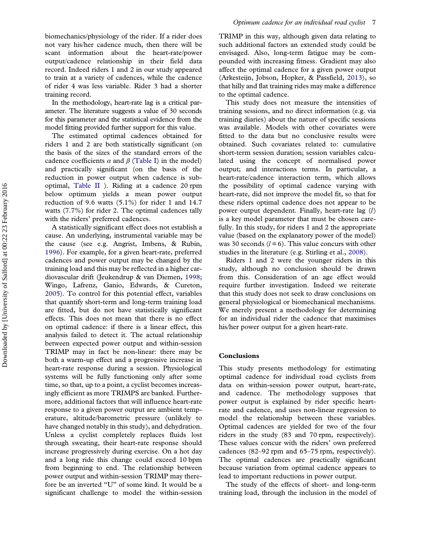<span id="page-7-0"></span>biomechanics/physiology of the rider. If a rider does not vary his/her cadence much, then there will be scant information about the heart-rate/power output/cadence relationship in their field data record. Indeed riders 1 and 2 in our study appeared to train at a variety of cadences, while the cadence of rider 4 was less variable. Rider 3 had a shorter training record.

In the methodology, heart-rate lag is a critical parameter. The literature suggests a value of 30 seconds for this parameter and the statistical evidence from the model fitting provided further support for this value.

The estimated optimal cadences obtained for riders 1 and 2 are both statistically significant (on the basis of the sizes of the standard errors of the cadence coefficients  $\alpha$  and  $\beta$  ([Table I\)](#page-5-0) in the model) and practically significant (on the basis of the reduction in power output when cadence is suboptimal, [Table II](#page-6-0) ). Riding at a cadence 20 rpm below optimum yields a mean power output reduction of 9.6 watts (5.1%) for rider 1 and 14.7 watts (7.7%) for rider 2. The optimal cadences tally with the riders' preferred cadences.

A statistically significant effect does not establish a cause. An underlying, instrumental variable may be the cause (see e.g. Angrist, Imbens, & Rubin, [1996\)](#page-8-0). For example, for a given heart-rate, preferred cadences and power output may be changed by the training load and this may be reflected in a higher cardiovascular drift (Jeukendrup & van Diemen, [1998;](#page-8-0) Wingo, Lafrenz, Ganio, Edwards, & Cureton, [2005\)](#page-9-0). To control for this potential effect, variables that quantify short-term and long-term training load are fitted, but do not have statistically significant effects. This does not mean that there is no effect on optimal cadence: if there is a linear effect, this analysis failed to detect it. The actual relationship between expected power output and within-session TRIMP may in fact be non-linear: there may be both a warm-up effect and a progressive increase in heart-rate response during a session. Physiological systems will be fully functioning only after some time, so that, up to a point, a cyclist becomes increasingly efficient as more TRIMPS are banked. Furthermore, additional factors that will influence heart-rate response to a given power output are ambient temperature, altitude/barometric pressure (unlikely to have changed notably in this study), and dehydration. Unless a cyclist completely replaces fluids lost through sweating, their heart-rate response should increase progressively during exercise. On a hot day and a long ride this change could exceed 10 bpm from beginning to end. The relationship between power output and within-session TRIMP may therefore be an inverted "U" of some kind. It would be a significant challenge to model the within-session

TRIMP in this way, although given data relating to such additional factors an extended study could be envisaged. Also, long-term fatigue may be compounded with increasing fitness. Gradient may also affect the optimal cadence for a given power output (Arkesteijn, Jobson, Hopker, & Passfield, [2013](#page-8-0)), so that hilly and flat training rides may make a difference to the optimal cadence.

This study does not measure the intensities of training sessions, and no direct information (e.g. via training diaries) about the nature of specific sessions was available. Models with other covariates were fitted to the data but no conclusive results were obtained. Such covariates related to: cumulative short-term session duration; session variables calculated using the concept of normalised power output; and interactions terms. In particular, a heart-rate/cadence interaction term, which allows the possibility of optimal cadence varying with heart-rate, did not improve the model fit, so that for these riders optimal cadence does not appear to be power output dependent. Finally, heart-rate lag (l) is a key model parameter that must be chosen carefully. In this study, for riders 1 and 2 the appropriate value (based on the explanatory power of the model) was 30 seconds  $(l = 6)$ . This value concurs with other studies in the literature (e.g. Stirling et al., [2008\)](#page-9-0).

Riders 1 and 2 were the younger riders in this study, although no conclusion should be drawn from this. Consideration of an age effect would require further investigation. Indeed we reiterate that this study does not seek to draw conclusions on general physiological or biomechanical mechanisms. We merely present a methodology for determining for an individual rider the cadence that maximises his/her power output for a given heart-rate.

#### Conclusions

This study presents methodology for estimating optimal cadence for individual road cyclists from data on within-session power output, heart-rate, and cadence. The methodology supposes that power output is explained by rider specific heartrate and cadence, and uses non-linear regression to model the relationship between these variables. Optimal cadences are yielded for two of the four riders in the study (83 and 70 rpm, respectively). These values concur with the riders' own preferred cadences (82–92 rpm and 65–75 rpm, respectively). The optimal cadences are practically significant because variation from optimal cadence appears to lead to important reductions in power output.

The study of the effects of short- and long-term training load, through the inclusion in the model of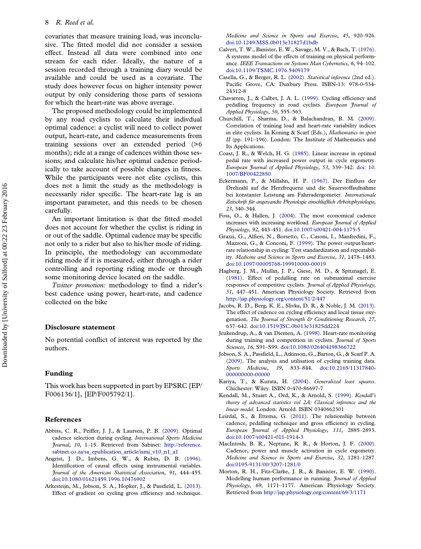<span id="page-8-0"></span>covariates that measure training load, was inconclusive. The fitted model did not consider a session effect. Instead all data were combined into one stream for each rider. Ideally, the nature of a session recorded through a training diary would be available and could be used as a covariate. The study does however focus on higher intensity power output by only considering those parts of sessions for which the heart-rate was above average.

The proposed methodology could be implemented by any road cyclists to calculate their indivdual optimal cadence: a cyclist will need to collect power output, heart-rate, and cadence measurements from training sessions over an extended period (>6 months); ride at a range of cadences within those sessions; and calculate his/her optimal cadence periodically to take account of possible changes in fitness. While the participants were not elite cyclists, this does not a limit the study as the methodology is necessarily rider specific. The heart-rate lag is an important parameter, and this needs to be chosen carefully.

An important limitation is that the fitted model does not account for whether the cyclist is riding in or out of the saddle. Optimal cadence may be specific not only to a rider but also to his/her mode of riding. In principle, the methodology can accommodate riding mode if it is measured, either through a rider controlling and reporting riding mode or through some monitoring device located on the saddle.

Twitter promotion: methodology to find a rider's best cadence using power, heart-rate, and cadence collected on the bike

#### Disclosure statement

No potential conflict of interest was reported by the authors.

# Funding

This work has been supported in part by EPSRC [EP/ F006136/1], [EP/F005792/1].

#### References

- Abbiss, C. R., Peiffer, J. J., & Laursen, P. B. ([2009](#page-1-0)). Optimal cadence selection during cycling. International Sports Medicine Journal, 10, 1–15. Retrieved from Sabinet: [http://reference.](http://reference.sabinet.co.za/sa_epublication_article/ismj_v10_n1_a1) [sabinet.co.za/sa\\_epublication\\_article/ismj\\_v10\\_n1\\_a1](http://reference.sabinet.co.za/sa_epublication_article/ismj_v10_n1_a1)
- Angrist, J. D., Imbens, G. W., & Rubin, D. B. ([1996](#page-7-0)). Identification of causal effects using instrumental variables. Journal of the American Statistical Association, 91, 444–455. [doi:10.1080/01621459.1996.10476902](http://dx.doi.org/10.1080/01621459.1996.10476902)
- Arkesteijn, M., Jobson, S. A., Hopker, J., & Passfield, L. ([2013](#page-7-0)). Effect of gradient on cycling gross efficiency and technique.

Medicine and Science in Sports and Exercise, 45, 920–926. [doi:10.1249/MSS.0b013e31827d1bdb](http://dx.doi.org/10.1249/MSS.0b013e31827d1bdb)

- Calvert, T. W., Banister, E. W., Savage, M. V., & Bach, T. ([1976\)](#page-5-0). A systems model of the effects of training on physical performance. IEEE Transactions on Systems Man Cybernetics, 6, 94–102. [doi:10.1109/TSMC.1976.5409179](http://dx.doi.org/10.1109/TSMC.1976.5409179)
- Casella, G., & Berger, R. L. [\(2002](#page-4-0)). Statistical inference (2nd ed.). Pacific Grove, CA: Duxbury Press. ISBN-13: 978-0-534- 24312-8
- Chavarren, J., & Calbet, J. A. L. [\(1999](#page-2-0)). Cycling efficiency and pedalling frequency in road cyclists. European Journal of Applied Physiology, 50, 555–563.
- Churchill, T., Sharma, D., & Balachandran, B. M. ([2009\)](#page-2-0). Correlation of training load and heart-rate variability indices in elite cyclists. In Koning & Scarf (Eds.), Mathematics in sport II (pp. 191–196). London: The Institute of Mathematics and Its Applications.
- Coast, J. R., & Welch, H. G. ([1985\)](#page-1-0). Linear increase in optimal pedal rate with increased power output in cycle ergometry. European Journal of Applied Physiology, 53, 339–342. [doi: 10.](http://dx.doi.org/10.1007/BF00422850) [1007/BF00422850](http://dx.doi.org/10.1007/BF00422850)
- Eckermann, P., & Millahn, H. P. ([1967](#page-1-0)). Der Einfluss der Drehzahl auf die Herzfrequenz und die Sauerstoffaufnahme bei konstanter Leistung am Fahrradergometer. Internationale Zeitschrift für angewandte Physiologie einschließlich Arbeitsphysiologie, 23, 340–344.
- Foss, O., & Hallen, J. [\(2004](#page-1-0)). The most economical cadence increases with increasing workload. European Journal of Applied Physiology, 92, 443–451. [doi:10.1007/s00421-004-1175-5](http://dx.doi.org/10.1007/s00421-004-1175-5)
- Grazzi, G., Alfieri, N., Borsetto, C., Casoni, I., Manfredini, F., Mazzoni, G., & Conconi, F. ([1999\)](#page-2-0). The power output/heartrate relationship in cycling: Test standardization and repeatability. Medicine and Science in Sports and Exercise, 31, 1478–1483. [doi:10.1097/00005768-199910000-00019](http://dx.doi.org/10.1097/00005768-199910000-00019)
- Hagberg, J. M., Mullin, J. P., Giese, M. D., & Spitznagel, E. [\(1981\)](#page-1-0). Effect of pedalling rate on submaximal exercise responses of competitive cyclists. Journal of Applied Physiology, 51, 447–451. American Physiology Society. Retrieved from <http://jap.physiology.org/content/51/2/447>
- Jacobs, R. D., Berg, K. E., Slivka, D. R., & Noble, J. M. ([2013\)](#page-1-0). The effect of cadence on cycling efficiency and local tissue oxygenation. The Journal of Strength & Conditioning Research, 27, 637–642. [doi:10.1519/JSC.0b013e31825dd224](http://dx.doi.org/10.1519/JSC.0b013e31825dd224)
- Jeukendrup, A., & van Diemen, A. ([1998](#page-2-0)). Heart-rate monitoring during training and competition in cyclists. Journal of Sports Sciences, 16, S91–S99. [doi:10.1080/026404198366722](http://dx.doi.org/10.1080/026404198366722)
- Jobson, S. A., Passfield, L., Atkinson, G., Barton, G., & Scarf P. A. [\(2009\)](#page-4-0). The analysis and utilisation of cycling training data. Sports Medicine, 39, 833–844. [doi:10.2165/11317840-](http://dx.doi.org/10.2165/11317840-000000000-00000) [000000000-00000](http://dx.doi.org/10.2165/11317840-000000000-00000)
- Kariya, T., & Kurata, H. ([2004\)](#page-4-0). Generalized least squares. Chichester: Wiley. ISBN 0-470-86697-7
- Kendall, M., Stuart A., Ord, K., & Arnold, S. [\(1999\)](#page-5-0). Kendall's theory of advanced statistics vol 2A: Classical inference and the linear model. London: Arnold. ISBN 0340662301
- Leirdal, S., & Ettema, G. ([2011\)](#page-1-0). The relationship between cadence, pedalling technique and gross efficiency in cycling. European Journal of Applied Physiology, 111, 2885–2893. [doi:10.1007/s00421-011-1914-3](http://dx.doi.org/10.1007/s00421-011-1914-3)
- MacIntosh, B. R., Neptune, R. R., & Horton, J. F. ([2000\)](#page-2-0). Cadence, power and muscle activation in cycle ergometry. Medicine and Science in Sports and Exercise, 32, 1281–1287. [doi:0195-9131/00/3207-1281/0](http://dx.doi.org/0195-9131/00/3207-1281/0)
- Morton, R. H., Fitz-Clarke, J. R., & Banister, E. W. ([1990\)](#page-4-0). Modelling human performance in running. Journal of Applied Physiology, 69, 1171–1177. American Physiology Society. Retrieved from <http://jap.physiology.org/content/69/3/1171>